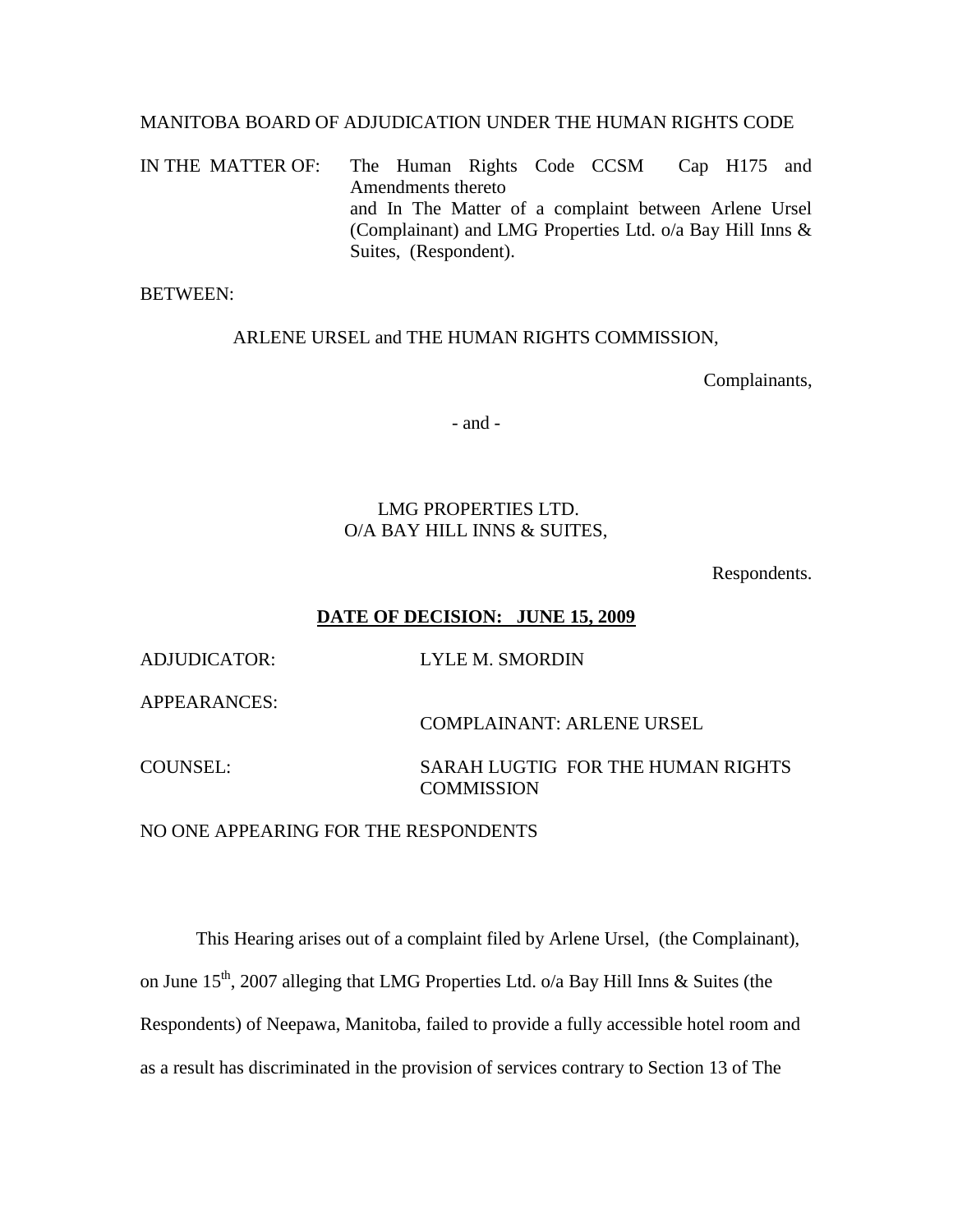#### MANITOBA BOARD OF ADJUDICATION UNDER THE HUMAN RIGHTS CODE

IN THE MATTER OF: The Human Rights Code CCSM Cap H175 and Amendments thereto and In The Matter of a complaint between Arlene Ursel (Complainant) and LMG Properties Ltd. o/a Bay Hill Inns & Suites, (Respondent).

BETWEEN:

#### ARLENE URSEL and THE HUMAN RIGHTS COMMISSION,

Complainants,

- and -

## LMG PROPERTIES LTD. O/A BAY HILL INNS & SUITES,

Respondents.

## **DATE OF DECISION: JUNE 15, 2009**

ADJUDICATOR: LYLE M. SMORDIN

APPEARANCES:

COMPLAINANT: ARLENE URSEL

COUNSEL: SARAH LUGTIG FOR THE HUMAN RIGHTS **COMMISSION** 

NO ONE APPEARING FOR THE RESPONDENTS

This Hearing arises out of a complaint filed by Arlene Ursel, (the Complainant), on June  $15<sup>th</sup>$ , 2007 alleging that LMG Properties Ltd. o/a Bay Hill Inns & Suites (the Respondents) of Neepawa, Manitoba, failed to provide a fully accessible hotel room and as a result has discriminated in the provision of services contrary to Section 13 of The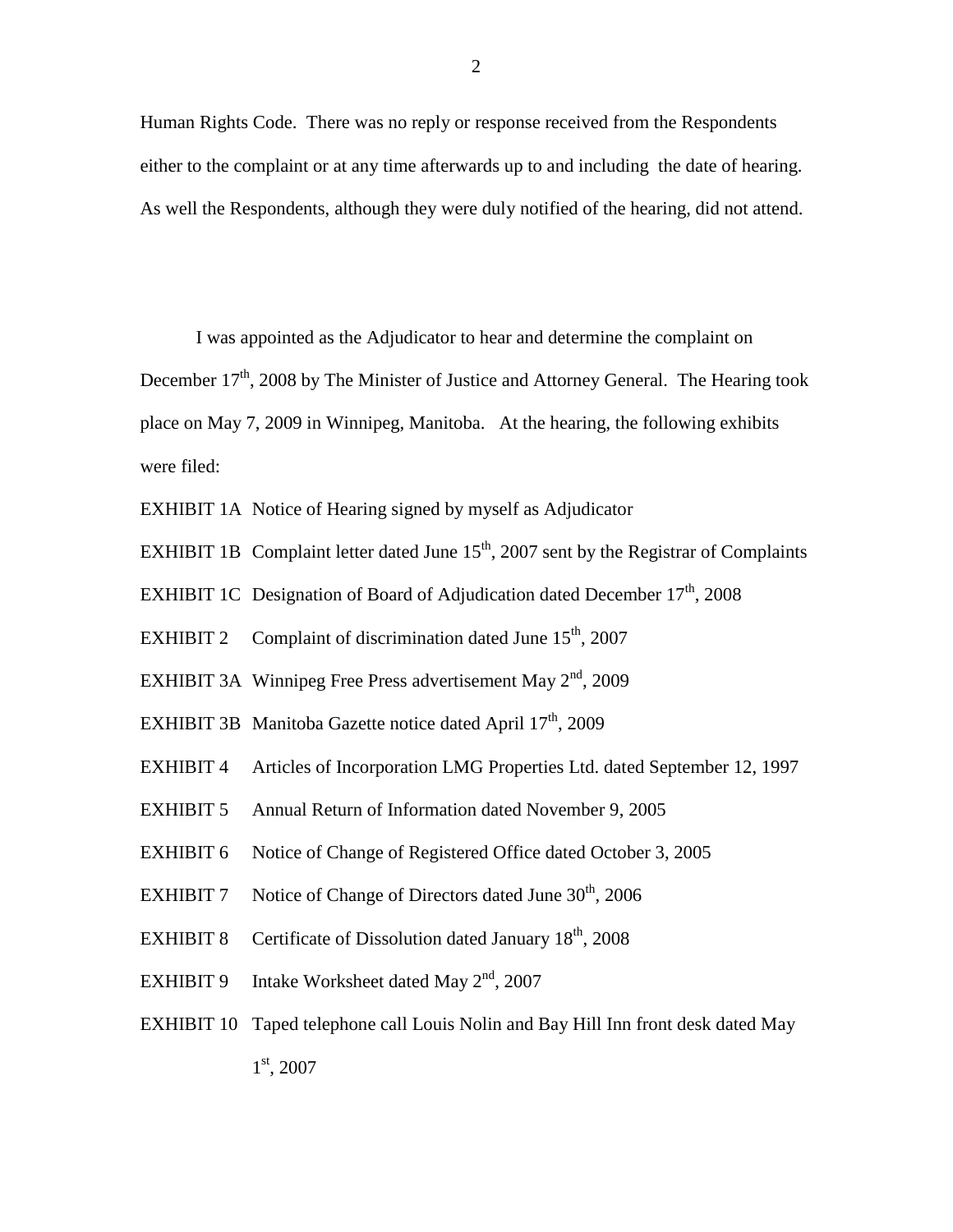Human Rights Code. There was no reply or response received from the Respondents either to the complaint or at any time afterwards up to and including the date of hearing. As well the Respondents, although they were duly notified of the hearing, did not attend.

I was appointed as the Adjudicator to hear and determine the complaint on

December  $17<sup>th</sup>$ , 2008 by The Minister of Justice and Attorney General. The Hearing took place on May 7, 2009 in Winnipeg, Manitoba. At the hearing, the following exhibits were filed:

EXHIBIT 1A Notice of Hearing signed by myself as Adjudicator

EXHIBIT 1B Complaint letter dated June  $15<sup>th</sup>$ , 2007 sent by the Registrar of Complaints

EXHIBIT 1C Designation of Board of Adjudication dated December  $17<sup>th</sup>$ , 2008

- EXHIBIT 2 Complaint of discrimination dated June  $15<sup>th</sup>$ , 2007
- EXHIBIT 3A Winnipeg Free Press advertisement May  $2<sup>nd</sup>$ , 2009
- EXHIBIT 3B Manitoba Gazette notice dated April 17<sup>th</sup>, 2009
- EXHIBIT 4 Articles of Incorporation LMG Properties Ltd. dated September 12, 1997
- EXHIBIT 5 Annual Return of Information dated November 9, 2005
- EXHIBIT 6 Notice of Change of Registered Office dated October 3, 2005
- EXHIBIT 7 Notice of Change of Directors dated June  $30<sup>th</sup>$ , 2006
- EXHIBIT 8 Certificate of Dissolution dated January  $18<sup>th</sup>$ , 2008
- EXHIBIT 9 Intake Worksheet dated May  $2<sup>nd</sup>$ , 2007
- EXHIBIT 10 Taped telephone call Louis Nolin and Bay Hill Inn front desk dated May 1st, 2007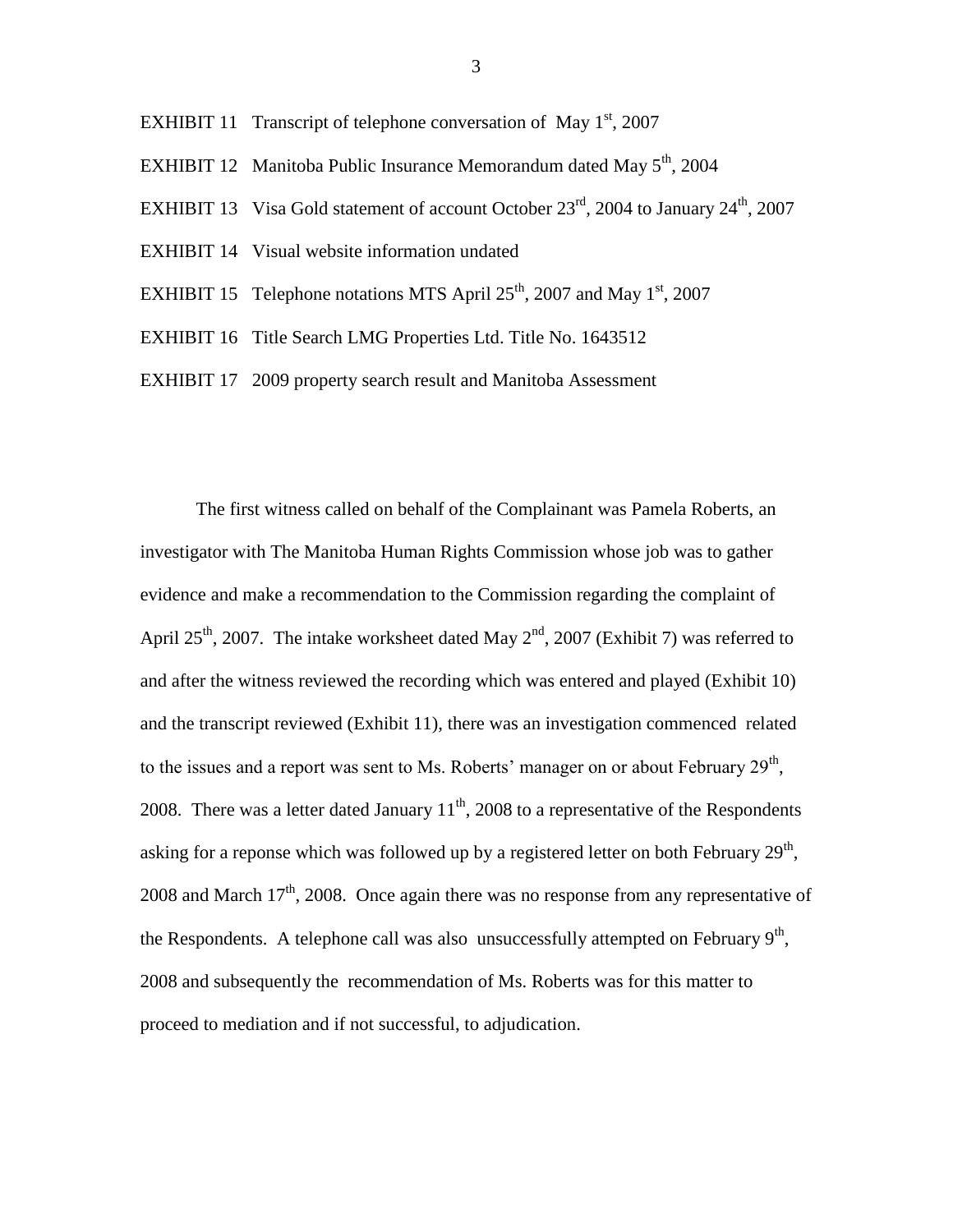- EXHIBIT 11 Transcript of telephone conversation of May  $1<sup>st</sup>$ , 2007
- EXHIBIT 12 Manitoba Public Insurance Memorandum dated May  $5<sup>th</sup>$ , 2004
- EXHIBIT 13 Visa Gold statement of account October  $23<sup>rd</sup>$ , 2004 to January  $24<sup>th</sup>$ , 2007
- EXHIBIT 14 Visual website information undated
- EXHIBIT 15 Telephone notations MTS April  $25<sup>th</sup>$ , 2007 and May 1<sup>st</sup>, 2007
- EXHIBIT 16 Title Search LMG Properties Ltd. Title No. 1643512
- EXHIBIT 17 2009 property search result and Manitoba Assessment

The first witness called on behalf of the Complainant was Pamela Roberts, an investigator with The Manitoba Human Rights Commission whose job was to gather evidence and make a recommendation to the Commission regarding the complaint of April 25<sup>th</sup>, 2007. The intake worksheet dated May  $2<sup>nd</sup>$ , 2007 (Exhibit 7) was referred to and after the witness reviewed the recording which was entered and played (Exhibit 10) and the transcript reviewed (Exhibit 11), there was an investigation commenced related to the issues and a report was sent to Ms. Roberts' manager on or about February  $29<sup>th</sup>$ , 2008. There was a letter dated January  $11<sup>th</sup>$ , 2008 to a representative of the Respondents asking for a reponse which was followed up by a registered letter on both February  $29<sup>th</sup>$ , 2008 and March  $17<sup>th</sup>$ , 2008. Once again there was no response from any representative of the Respondents. A telephone call was also unsuccessfully attempted on February  $9<sup>th</sup>$ , 2008 and subsequently the recommendation of Ms. Roberts was for this matter to proceed to mediation and if not successful, to adjudication.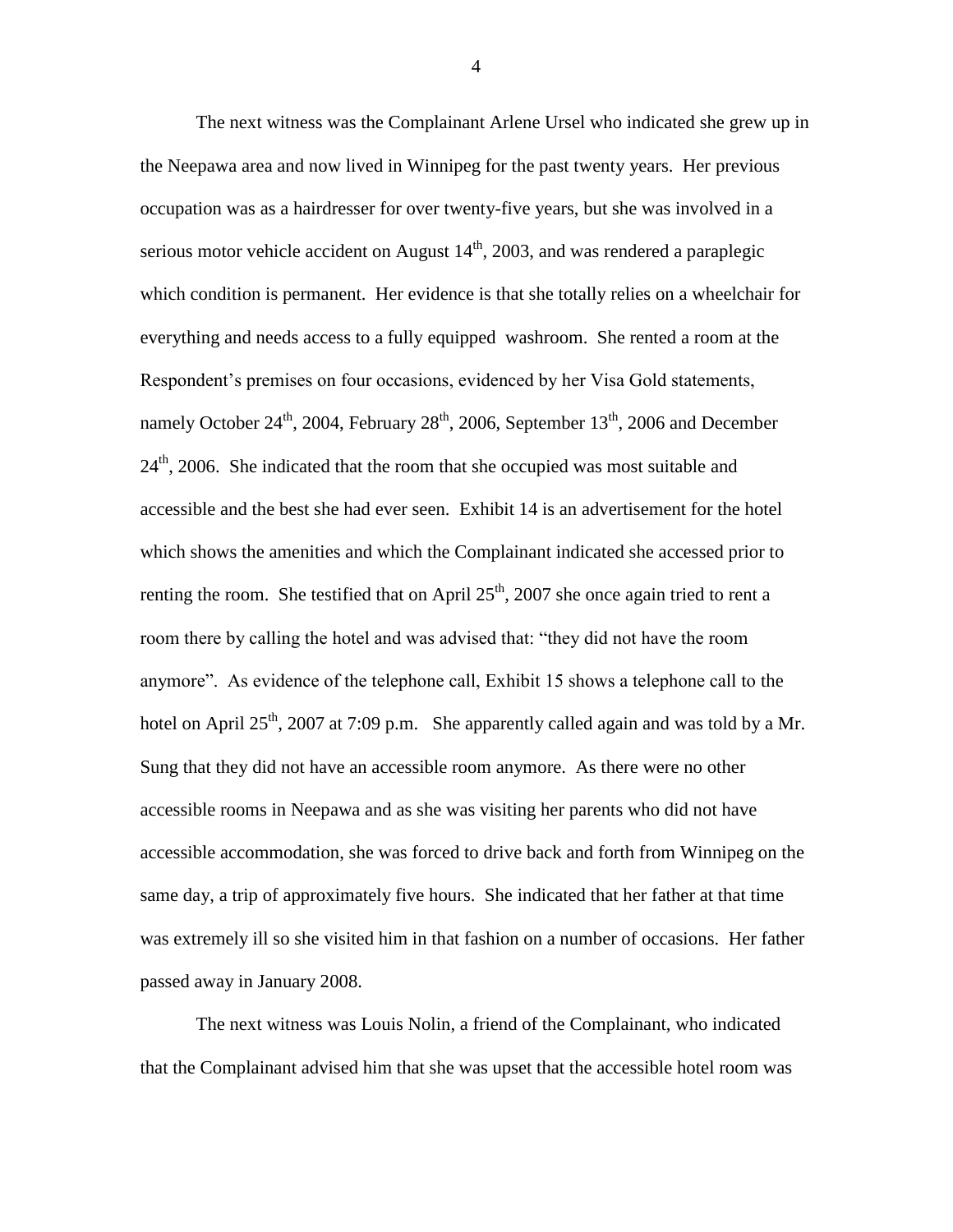The next witness was the Complainant Arlene Ursel who indicated she grew up in the Neepawa area and now lived in Winnipeg for the past twenty years. Her previous occupation was as a hairdresser for over twenty-five years, but she was involved in a serious motor vehicle accident on August  $14<sup>th</sup>$ , 2003, and was rendered a paraplegic which condition is permanent. Her evidence is that she totally relies on a wheelchair for everything and needs access to a fully equipped washroom. She rented a room at the Respondent's premises on four occasions, evidenced by her Visa Gold statements, namely October 24<sup>th</sup>, 2004, February 28<sup>th</sup>, 2006, September 13<sup>th</sup>, 2006 and December  $24<sup>th</sup>$ , 2006. She indicated that the room that she occupied was most suitable and accessible and the best she had ever seen. Exhibit 14 is an advertisement for the hotel which shows the amenities and which the Complainant indicated she accessed prior to renting the room. She testified that on April  $25<sup>th</sup>$ , 2007 she once again tried to rent a room there by calling the hotel and was advised that: "they did not have the room anymore". As evidence of the telephone call, Exhibit 15 shows a telephone call to the hotel on April  $25<sup>th</sup>$ , 2007 at 7:09 p.m. She apparently called again and was told by a Mr. Sung that they did not have an accessible room anymore. As there were no other accessible rooms in Neepawa and as she was visiting her parents who did not have accessible accommodation, she was forced to drive back and forth from Winnipeg on the same day, a trip of approximately five hours. She indicated that her father at that time was extremely ill so she visited him in that fashion on a number of occasions. Her father passed away in January 2008.

The next witness was Louis Nolin, a friend of the Complainant, who indicated that the Complainant advised him that she was upset that the accessible hotel room was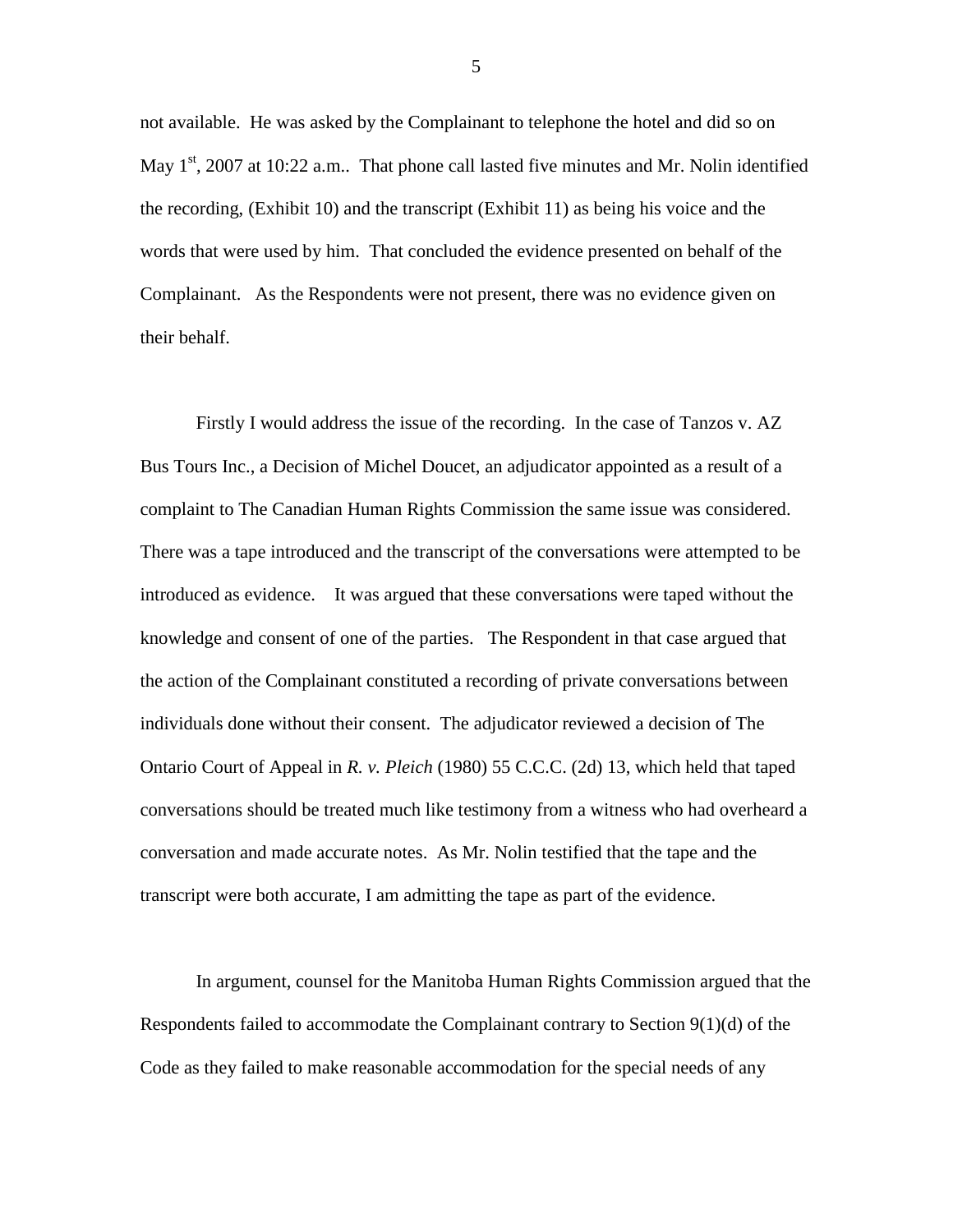not available. He was asked by the Complainant to telephone the hotel and did so on May  $1<sup>st</sup>$ , 2007 at 10:22 a.m.. That phone call lasted five minutes and Mr. Nolin identified the recording, (Exhibit 10) and the transcript (Exhibit 11) as being his voice and the words that were used by him. That concluded the evidence presented on behalf of the Complainant. As the Respondents were not present, there was no evidence given on their behalf.

Firstly I would address the issue of the recording. In the case of Tanzos v. AZ Bus Tours Inc., a Decision of Michel Doucet, an adjudicator appointed as a result of a complaint to The Canadian Human Rights Commission the same issue was considered. There was a tape introduced and the transcript of the conversations were attempted to be introduced as evidence. It was argued that these conversations were taped without the knowledge and consent of one of the parties. The Respondent in that case argued that the action of the Complainant constituted a recording of private conversations between individuals done without their consent. The adjudicator reviewed a decision of The Ontario Court of Appeal in *R. v. Pleich* (1980) 55 C.C.C. (2d) 13, which held that taped conversations should be treated much like testimony from a witness who had overheard a conversation and made accurate notes. As Mr. Nolin testified that the tape and the transcript were both accurate, I am admitting the tape as part of the evidence.

In argument, counsel for the Manitoba Human Rights Commission argued that the Respondents failed to accommodate the Complainant contrary to Section 9(1)(d) of the Code as they failed to make reasonable accommodation for the special needs of any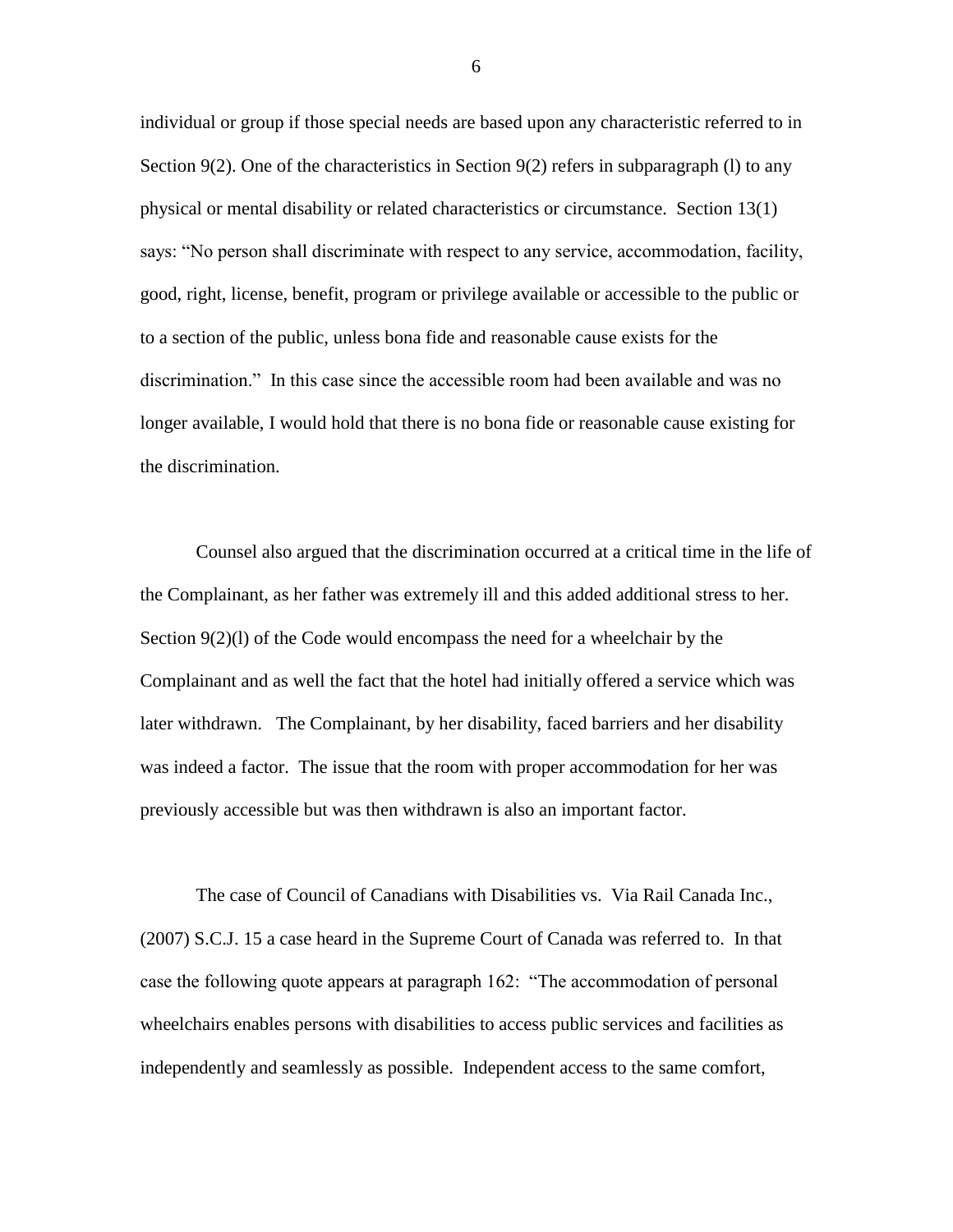individual or group if those special needs are based upon any characteristic referred to in Section 9(2). One of the characteristics in Section 9(2) refers in subparagraph (1) to any physical or mental disability or related characteristics or circumstance. Section 13(1) says: "No person shall discriminate with respect to any service, accommodation, facility, good, right, license, benefit, program or privilege available or accessible to the public or to a section of the public, unless bona fide and reasonable cause exists for the discrimination." In this case since the accessible room had been available and was no longer available, I would hold that there is no bona fide or reasonable cause existing for the discrimination.

Counsel also argued that the discrimination occurred at a critical time in the life of the Complainant, as her father was extremely ill and this added additional stress to her. Section 9(2)(l) of the Code would encompass the need for a wheelchair by the Complainant and as well the fact that the hotel had initially offered a service which was later withdrawn. The Complainant, by her disability, faced barriers and her disability was indeed a factor. The issue that the room with proper accommodation for her was previously accessible but was then withdrawn is also an important factor.

The case of Council of Canadians with Disabilities vs. Via Rail Canada Inc., (2007) S.C.J. 15 a case heard in the Supreme Court of Canada was referred to. In that case the following quote appears at paragraph 162: "The accommodation of personal wheelchairs enables persons with disabilities to access public services and facilities as independently and seamlessly as possible. Independent access to the same comfort,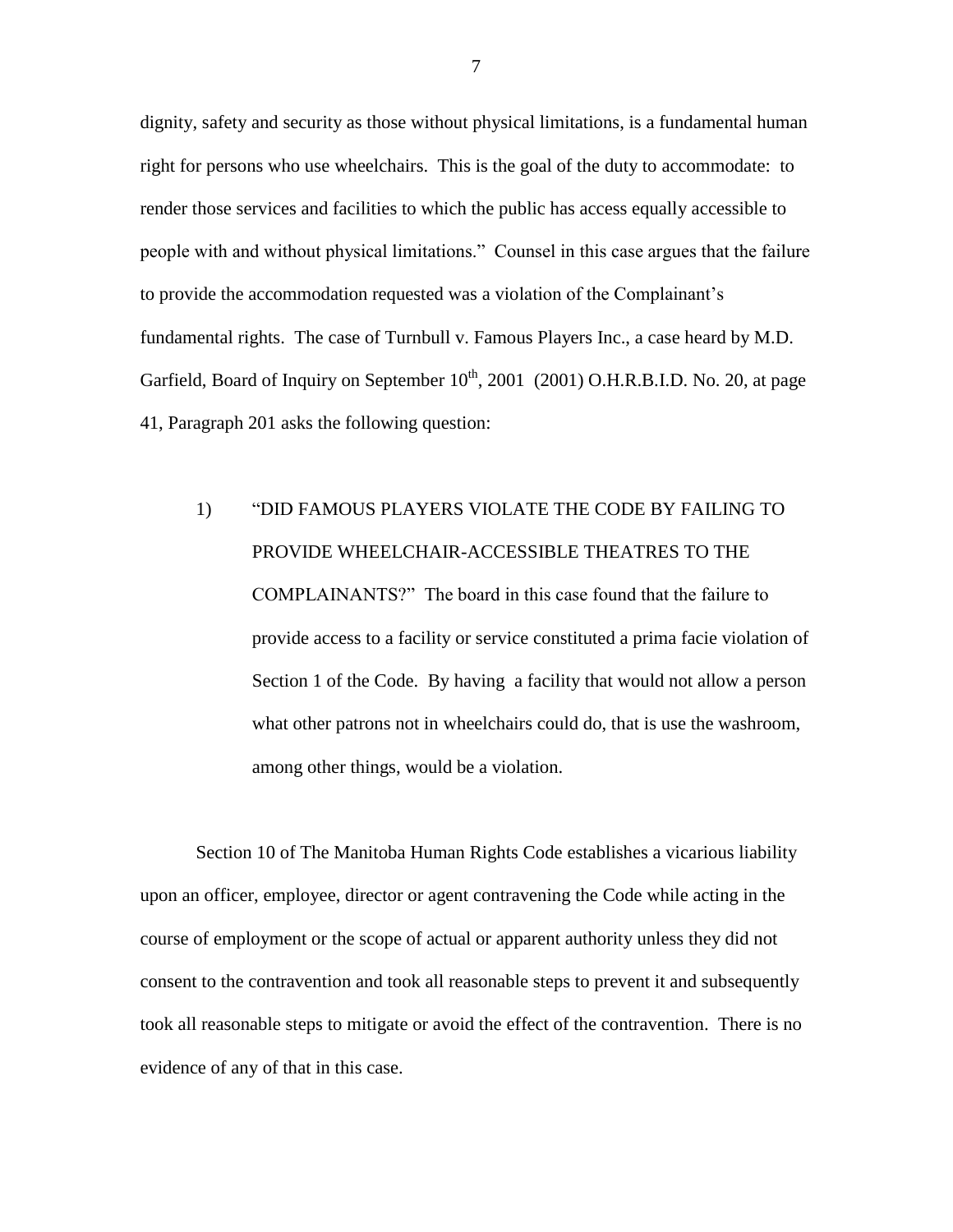dignity, safety and security as those without physical limitations, is a fundamental human right for persons who use wheelchairs. This is the goal of the duty to accommodate: to render those services and facilities to which the public has access equally accessible to people with and without physical limitations." Counsel in this case argues that the failure to provide the accommodation requested was a violation of the Complainant's fundamental rights. The case of Turnbull v. Famous Players Inc., a case heard by M.D. Garfield, Board of Inquiry on September  $10^{th}$ , 2001 (2001) O.H.R.B.I.D. No. 20, at page 41, Paragraph 201 asks the following question:

# 1) "DID FAMOUS PLAYERS VIOLATE THE CODE BY FAILING TO PROVIDE WHEELCHAIR-ACCESSIBLE THEATRES TO THE COMPLAINANTS?" The board in this case found that the failure to provide access to a facility or service constituted a prima facie violation of Section 1 of the Code. By having a facility that would not allow a person what other patrons not in wheelchairs could do, that is use the washroom, among other things, would be a violation.

Section 10 of The Manitoba Human Rights Code establishes a vicarious liability upon an officer, employee, director or agent contravening the Code while acting in the course of employment or the scope of actual or apparent authority unless they did not consent to the contravention and took all reasonable steps to prevent it and subsequently took all reasonable steps to mitigate or avoid the effect of the contravention. There is no evidence of any of that in this case.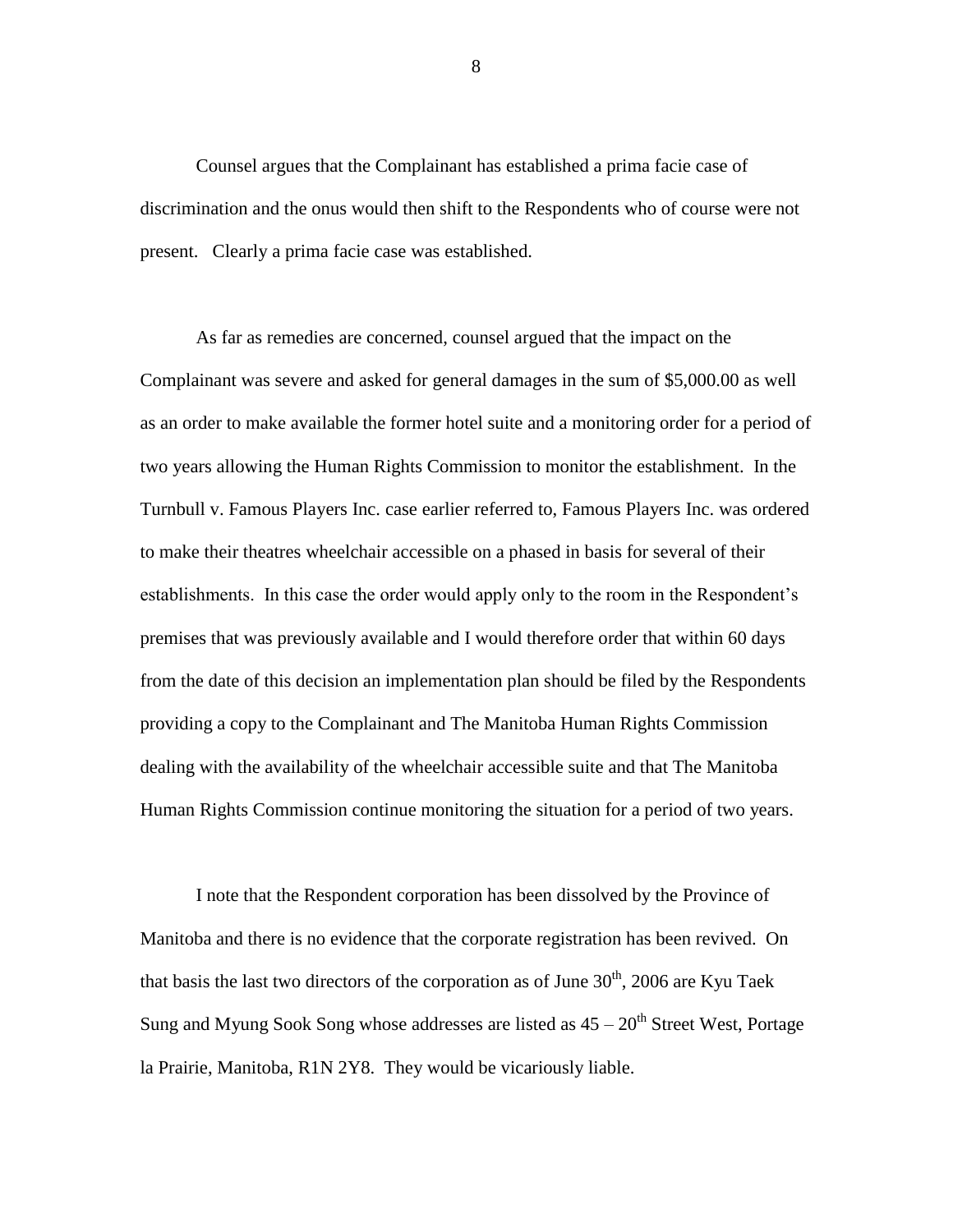Counsel argues that the Complainant has established a prima facie case of discrimination and the onus would then shift to the Respondents who of course were not present. Clearly a prima facie case was established.

As far as remedies are concerned, counsel argued that the impact on the Complainant was severe and asked for general damages in the sum of \$5,000.00 as well as an order to make available the former hotel suite and a monitoring order for a period of two years allowing the Human Rights Commission to monitor the establishment. In the Turnbull v. Famous Players Inc. case earlier referred to, Famous Players Inc. was ordered to make their theatres wheelchair accessible on a phased in basis for several of their establishments. In this case the order would apply only to the room in the Respondent's premises that was previously available and I would therefore order that within 60 days from the date of this decision an implementation plan should be filed by the Respondents providing a copy to the Complainant and The Manitoba Human Rights Commission dealing with the availability of the wheelchair accessible suite and that The Manitoba Human Rights Commission continue monitoring the situation for a period of two years.

I note that the Respondent corporation has been dissolved by the Province of Manitoba and there is no evidence that the corporate registration has been revived. On that basis the last two directors of the corporation as of June  $30<sup>th</sup>$ , 2006 are Kyu Taek Sung and Myung Sook Song whose addresses are listed as  $45 - 20<sup>th</sup>$  Street West, Portage la Prairie, Manitoba, R1N 2Y8. They would be vicariously liable.